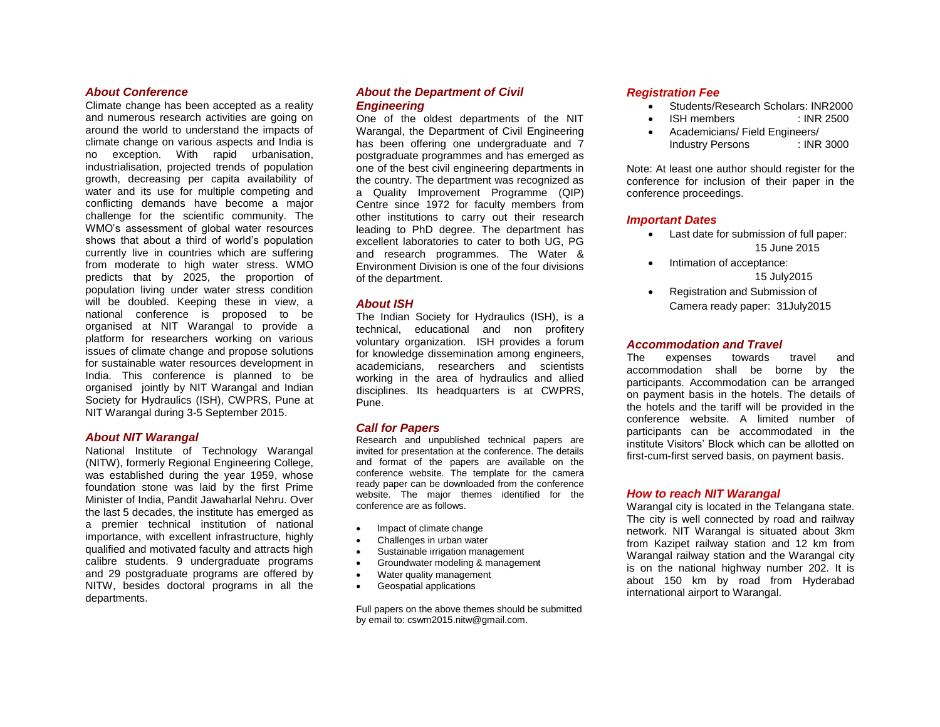# *About Conference*

Climate change has been accepted as a reality and numerous research activities are going on around the world to understand the impacts of climate change on various aspects and India is no exception. With rapid urbanisation, industrialisation, projected trends of population growth, decreasing per capita availability of water and its use for multiple competing and conflicting demands have become a major challenge for the scientific community. The WMO's assessment of global water resources shows that about a third of world's population currently live in countries which are suffering from moderate to high water stress. WMO predicts that by 2025, the proportion of population living under water stress condition will be doubled. Keeping these in view, a national conference is proposed to be organised at NIT Warangal to provide a platform for researchers working on various issues of climate change and propose solutions for sustainable water resources development in India. This conference is planned to be organised jointly by NIT Warangal and Indian Society for Hydraulics (ISH), CWPRS, Pune at NIT Warangal during 3-5 September 2015.

## *About NIT Warangal*

National Institute of Technology Warangal (NITW), formerly Regional Engineering College, was established during the year 1959, whose foundation stone was laid by the first Prime Minister of India, Pandit Jawaharlal Nehru. Over the last 5 decades, the institute has emerged as a premier technical institution of national importance, with excellent infrastructure, highly qualified and motivated faculty and attracts high calibre students. 9 undergraduate programs and 29 postgraduate programs are offered by NITW, besides doctoral programs in all the departments.

# *About the Department of Civil Engineering*

One of the oldest departments of the NIT Warangal, the Department of Civil Engineering has been offering one undergraduate and 7 postgraduate programmes and has emerged as one of the best civil engineering departments in the country. The department was recognized as a Quality Improvement Programme (QIP) Centre since 1972 for faculty members from other institutions to carry out their research leading to PhD degree. The department has excellent laboratories to cater to both UG, PG and research programmes. The Water & Environment Division is one of the four divisions of the department.

# *About ISH*

The Indian Society for Hydraulics (ISH), is a technical, educational and non profitery voluntary organization. ISH provides a forum for knowledge dissemination among engineers, academicians, researchers and scientists working in the area of hydraulics and allied disciplines. Its headquarters is at CWPRS, Pune.

## *Call for Papers*

Research and unpublished technical papers are invited for presentation at the conference. The details and format of the papers are available on the conference website. The template for the camera ready paper can be downloaded from the conference website. The major themes identified for the conference are as follows.

- Impact of climate change
- Challenges in urban water
- Sustainable irrigation management
- Groundwater modeling & management
- Water quality management
- Geospatial applications

Full papers on the above themes should be submitted by email to: cswm2015.nitw@gmail.com.

# *Registration Fee*

- Students/Research Scholars: INR2000
- ISH members : INR 2500
- Academicians/ Field Engineers/ Industry Persons : INR 3000

Note: At least one author should register for the conference for inclusion of their paper in the conference proceedings.

## *Important Dates*

- Last date for submission of full paper: 15 June 2015
- Intimation of acceptance: 15 July2015
- Registration and Submission of Camera ready paper: 31July2015

## *Accommodation and Travel*

The expenses towards travel and accommodation shall be borne by the participants. Accommodation can be arranged on payment basis in the hotels. The details of the hotels and the tariff will be provided in the conference website. A limited number of participants can be accommodated in the institute Visitors' Block which can be allotted on first-cum-first served basis, on payment basis.

# *How to reach NIT Warangal*

Warangal city is located in the Telangana state. The city is well connected by road and railway network. NIT Warangal is situated about 3km from Kazipet railway station and 12 km from Warangal railway station and the Warangal city is on the national highway number 202. It is about 150 km by road from Hyderabad international airport to Warangal.